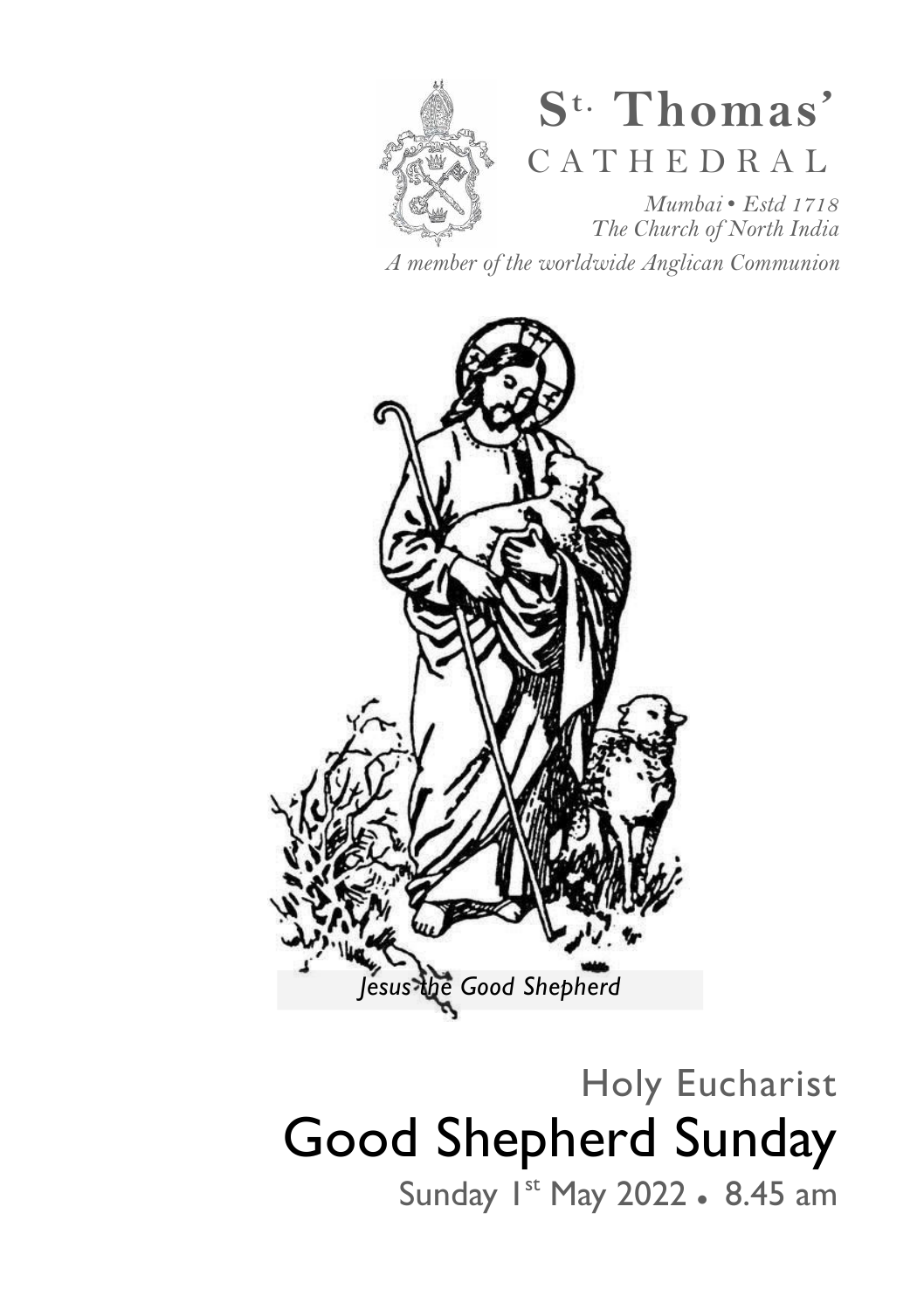

# **S t. Thomas'**  C A T H E D R A L

*Mumbai* • *Estd 1718 The Church of North India* 

*A member of the worldwide Anglican Communion* 



# Holy Eucharist Good Shepherd Sunday

Sunday 1st May 2022 • 8.45 am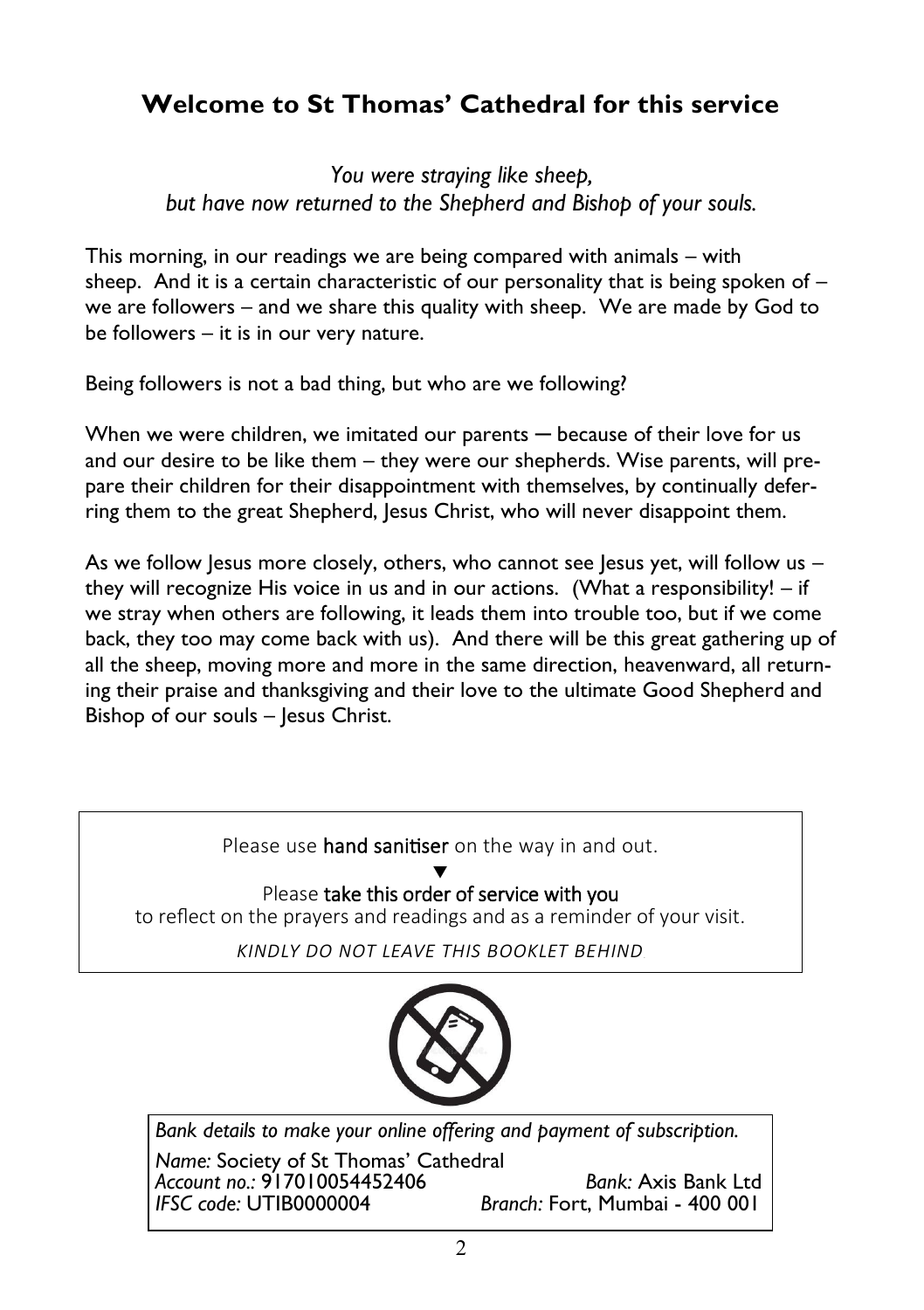### **Welcome to St Thomas' Cathedral for this service**

*You were straying like sheep, but have now returned to the Shepherd and Bishop of your souls.* 

This morning, in our readings we are being compared with animals – with sheep. And it is a certain characteristic of our personality that is being spoken of  $$ we are followers – and we share this quality with sheep. We are made by God to be followers – it is in our very nature.

Being followers is not a bad thing, but who are we following?

When we were children, we imitated our parents — because of their love for us and our desire to be like them – they were our shepherds. Wise parents, will prepare their children for their disappointment with themselves, by continually deferring them to the great Shepherd, Jesus Christ, who will never disappoint them.

As we follow Jesus more closely, others, who cannot see Jesus yet, will follow us – they will recognize His voice in us and in our actions. (What a responsibility! – if we stray when others are following, it leads them into trouble too, but if we come back, they too may come back with us). And there will be this great gathering up of all the sheep, moving more and more in the same direction, heavenward, all returning their praise and thanksgiving and their love to the ultimate Good Shepherd and Bishop of our souls - Jesus Christ.



*Account no.:* 917010054452406 *Bank:* Axis Bank Ltd *Branch: Fort, Mumbai - 400 001*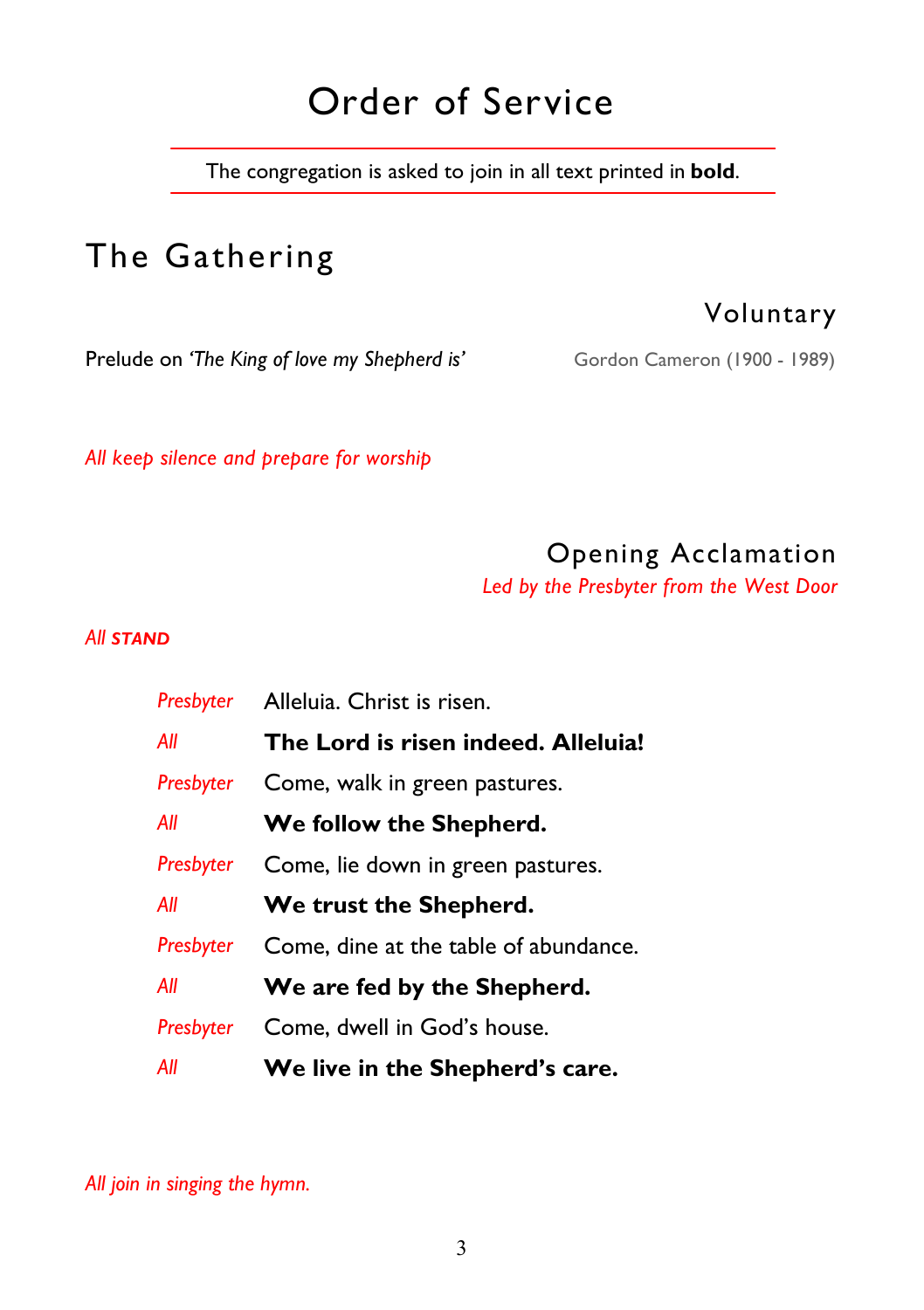# Order of Service

The congregation is asked to join in all text printed in **bold**.

# The Gathering

Voluntary

Prelude on 'The King of love my Shepherd is' Gordon Cameron (1900 - 1989)

*All keep silence and prepare for worship* 

## Opening Acclamation

*Led by the Presbyter from the West Door* 

#### *All STAND*

| Presbyter | Alleluia. Christ is risen.            |
|-----------|---------------------------------------|
| All       | The Lord is risen indeed. Alleluia!   |
| Presbyter | Come, walk in green pastures.         |
| All       | We follow the Shepherd.               |
| Presbyter | Come, lie down in green pastures.     |
| All       | We trust the Shepherd.                |
| Presbyter | Come, dine at the table of abundance. |
| All       | We are fed by the Shepherd.           |
| Presbyter | Come, dwell in God's house.           |
| All       | We live in the Shepherd's care.       |

*All join in singing the hymn.*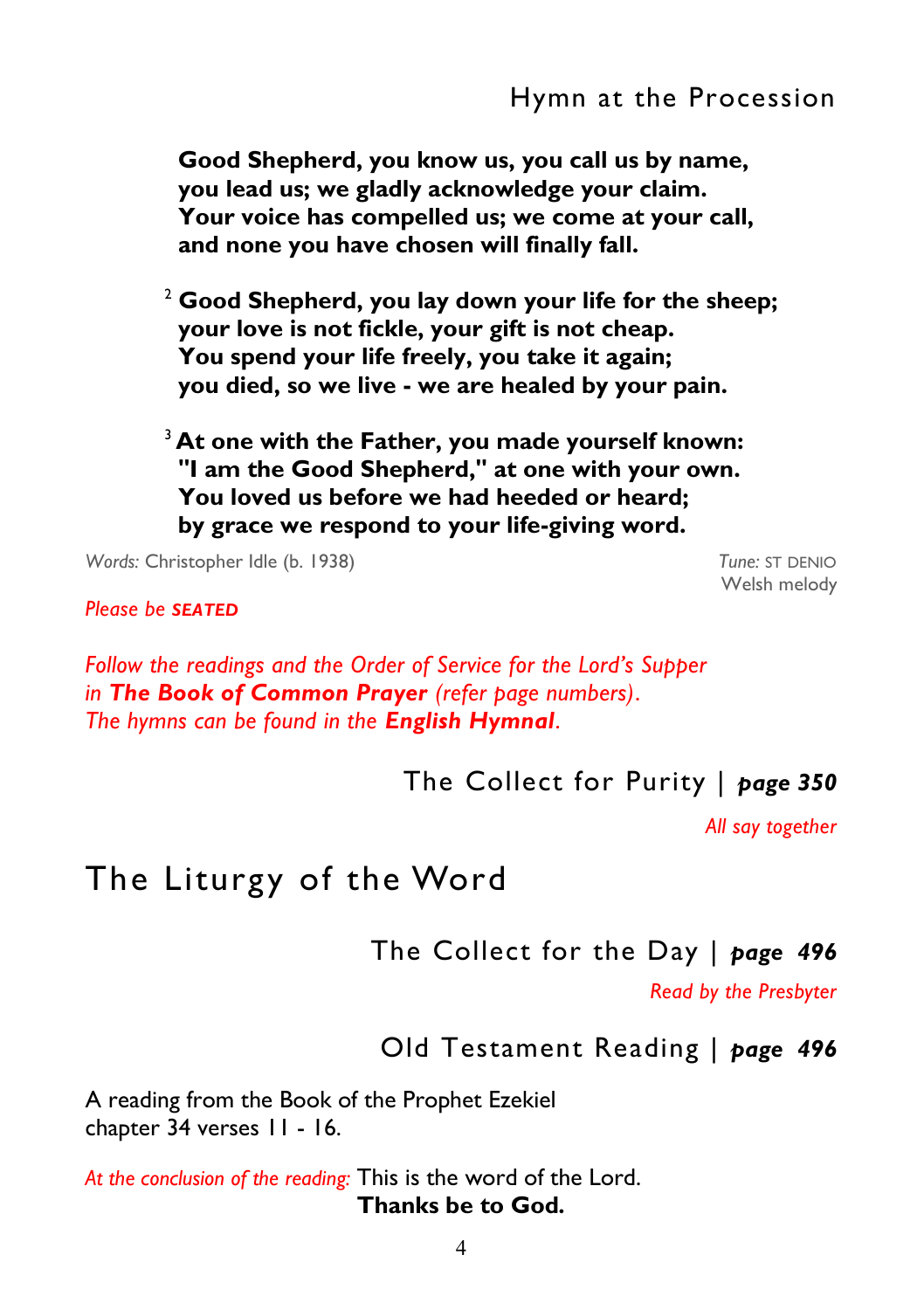**Good Shepherd, you know us, you call us by name, you lead us; we gladly acknowledge your claim. Your voice has compelled us; we come at your call, and none you have chosen will finally fall.** 

<sup>2</sup> **Good Shepherd, you lay down your life for the sheep; your love is not fickle, your gift is not cheap. You spend your life freely, you take it again; you died, so we live - we are healed by your pain.** 

<sup>3</sup> At one with the Father, you made yourself known:  **"I am the Good Shepherd," at one with your own. You loved us before we had heeded or heard; by grace we respond to your life-giving word.** 

*Words:* Christopher Idle (b. 1938) *Tune:* ST DENIO

Welsh melody

*Please be SEATED*

*Follow the readings and the Order of Service for the Lord's Supper in The Book of Common Prayer (refer page numbers)*. *The hymns can be found in the English Hymnal*.

The Collect for Purity | *page 350* 

*All say together* 

## The Liturgy of the Word

#### The Collect for the Day | *page 496*

*Read by the Presbyter*

Old Testament Reading | *page 496* 

A reading from the Book of the Prophet Ezekiel chapter 34 verses 11 - 16.

*At the conclusion of the reading:* This is the word of the Lord. **Thanks be to God***.*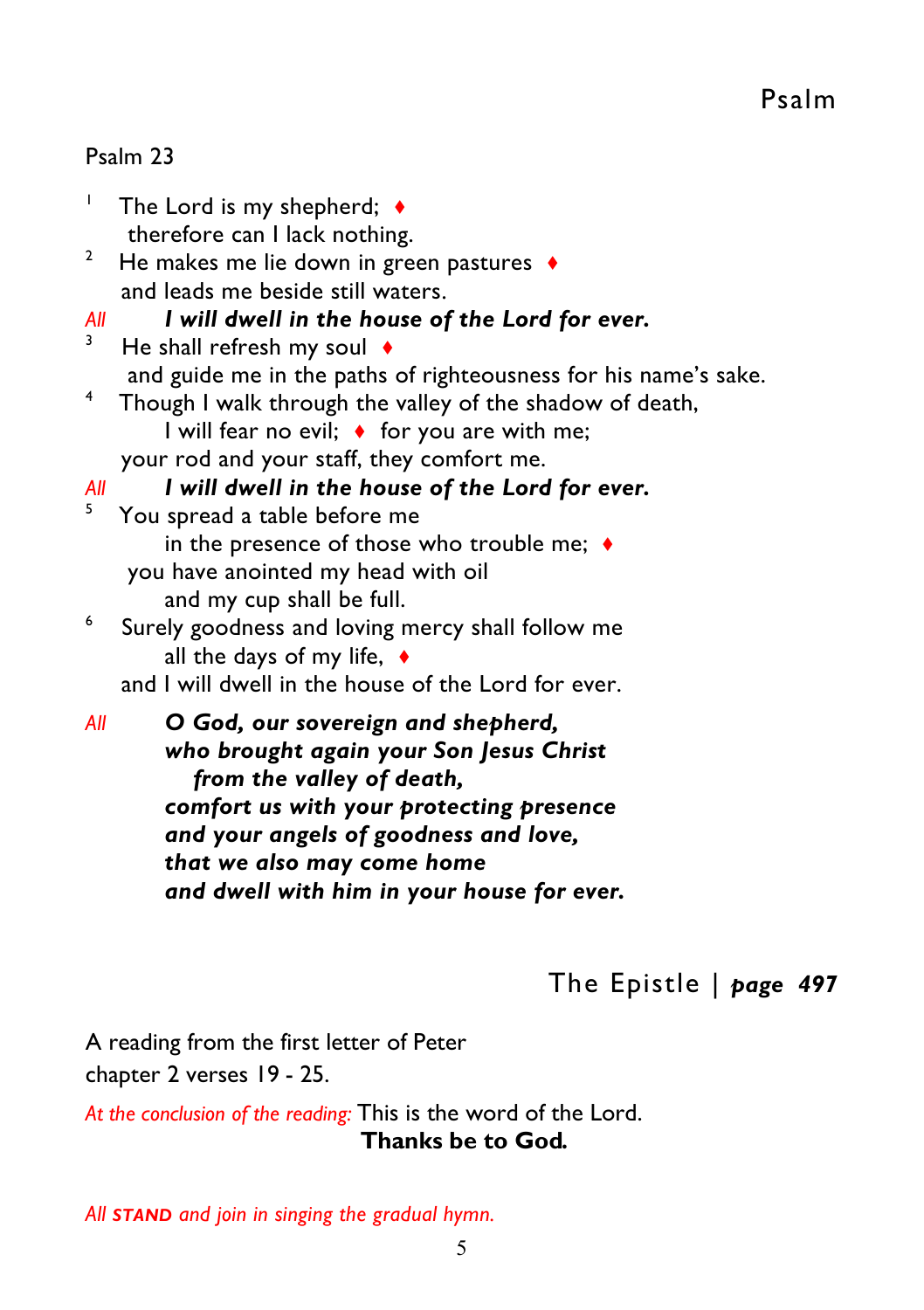#### Psalm 23

- 1 The Lord is my shepherd; ♦ therefore can I lack nothing.
- 2 He makes me lie down in green pastures ♦ and leads me beside still waters.
- *All I will dwell in the house of the Lord for ever.*
- 3 He shall refresh my soul  $\triangleleft$ and guide me in the paths of righteousness for his name's sake.
- 4 Though I walk through the valley of the shadow of death, I will fear no evil; ♦ for you are with me;
	- your rod and your staff, they comfort me.

#### *All I will dwell in the house of the Lord for ever.*

- 5 You spread a table before me in the presence of those who trouble me:  $\bullet$ you have anointed my head with oil and my cup shall be full.
- 6 Surely goodness and loving mercy shall follow me all the days of my life, ♦
	- and I will dwell in the house of the Lord for ever.
- *All O God, our sovereign and shepherd, who brought again your Son Jesus Christ* *from the valley of death, comfort us with your protecting presence and your angels of goodness and love, that we also may come home and dwell with him in your house for ever.*

The Epistle | *page 497* 

A reading from the first letter of Peter chapter 2 verses 19 - 25.

*At the conclusion of the reading:* This is the word of the Lord.  **Thanks be to God***.* 

*All STAND and join in singing the gradual hymn.*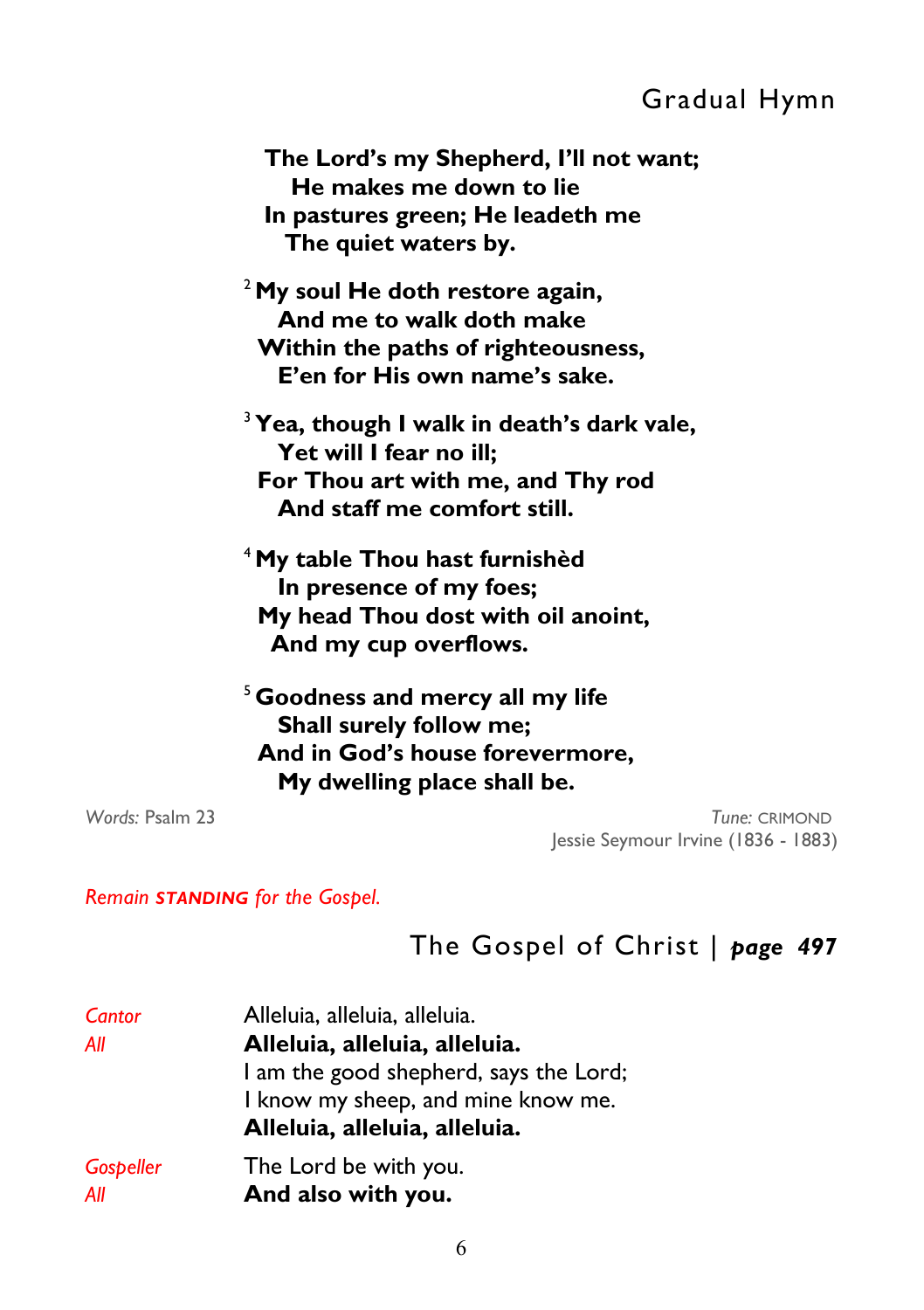### Gradual Hymn

 **The Lord's my Shepherd, I'll not want; He makes me down to lie In pastures green; He leadeth me The quiet waters by.** 

<sup>2</sup>**My soul He doth restore again, And me to walk doth make Within the paths of righteousness, E'en for His own name's sake.**

<sup>3</sup>**Yea, though I walk in death's dark vale, Yet will I fear no ill; For Thou art with me, and Thy rod And staff me comfort still.**

<sup>4</sup>**My table Thou hast furnishèd In presence of my foes; My head Thou dost with oil anoint, And my cup overflows.** 

<sup>5</sup>**Goodness and mercy all my life Shall surely follow me; And in God's house forevermore, My dwelling place shall be.** 

*Words:* Psalm 23 *Tune:* CRIMOND Jessie Seymour Irvine (1836 - 1883)

*Remain STANDING for the Gospel.* 

### The Gospel of Christ | *page 497*

| Cantor    | Alleluia, alleluia, alleluia.          |
|-----------|----------------------------------------|
| All       | Alleluia, alleluia, alleluia.          |
|           | I am the good shepherd, says the Lord; |
|           | I know my sheep, and mine know me.     |
|           | Alleluia, alleluia, alleluia.          |
| Gospeller | The Lord be with you.                  |
| All       | And also with you.                     |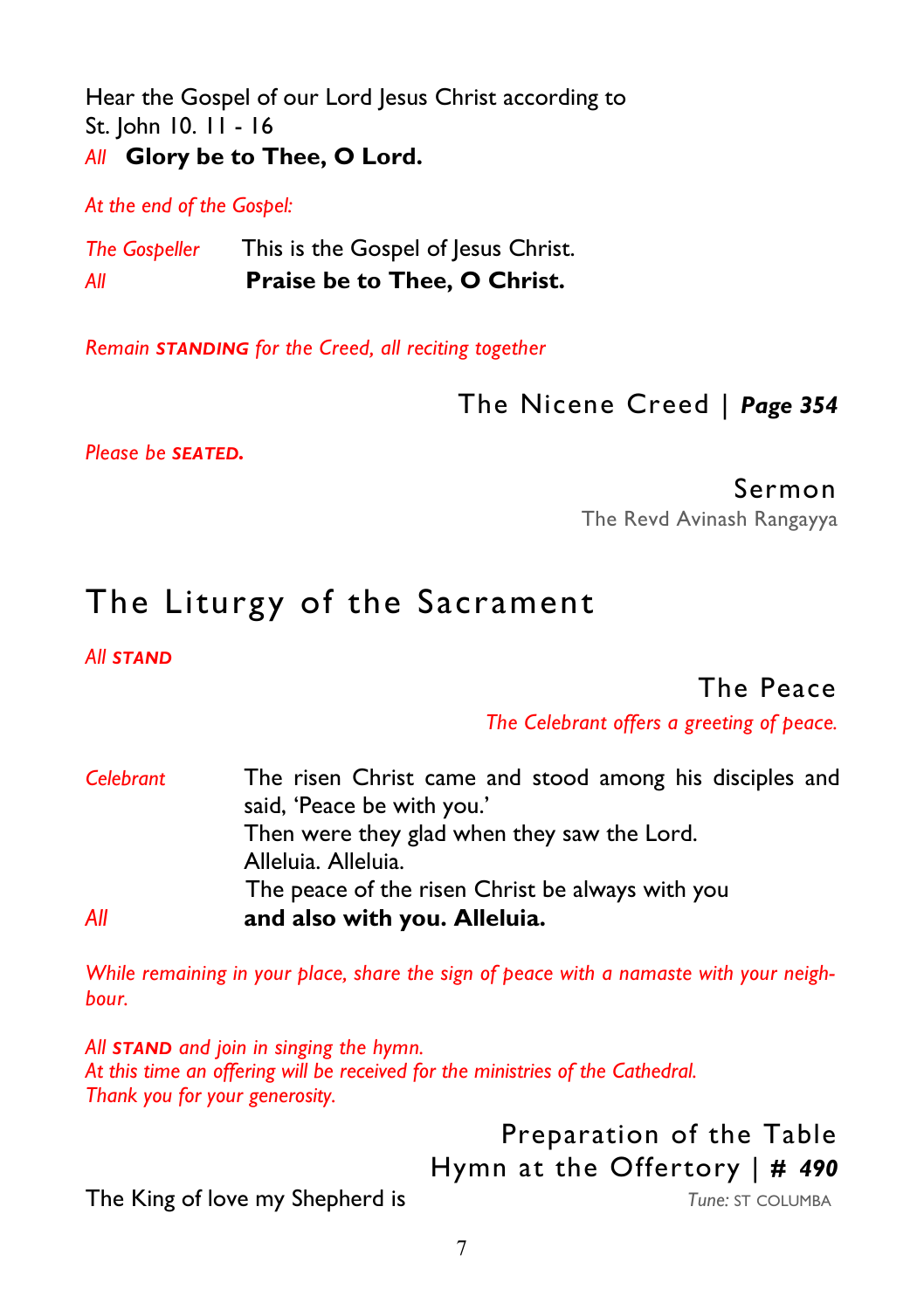Hear the Gospel of our Lord Jesus Christ according to St. John 10. 11 - 16 *All* **Glory be to Thee, O Lord.** 

*At the end of the Gospel:* 

**The Gospeller** This is the Gospel of Jesus Christ. *All* **Praise be to Thee, O Christ.** 

*Remain STANDING for the Creed, all reciting together* 

#### The Nicene Creed | *Page 354*

*Please be SEATED.* 

Sermon

The Revd Avinash Rangayya

# The Liturgy of the Sacrament

*All STAND*

#### The Peace

*The Celebrant offers a greeting of peace.*

| Celebrant | The risen Christ came and stood among his disciples and |
|-----------|---------------------------------------------------------|
|           | said, 'Peace be with you.'                              |
|           | Then were they glad when they saw the Lord.             |
|           | Alleluia. Alleluia.                                     |
|           | The peace of the risen Christ be always with you        |
| All       | and also with you. Alleluia.                            |

*While remaining in your place, share the sign of peace with a namaste with your neighbour.* 

*All STAND and join in singing the hymn. At this time an offering will be received for the ministries of the Cathedral. Thank you for your generosity.* 

### Preparation of the Table Hymn at the Offertory | *# 490*

**The King of love my Shepherd is** *Tune: ST COLUMBA*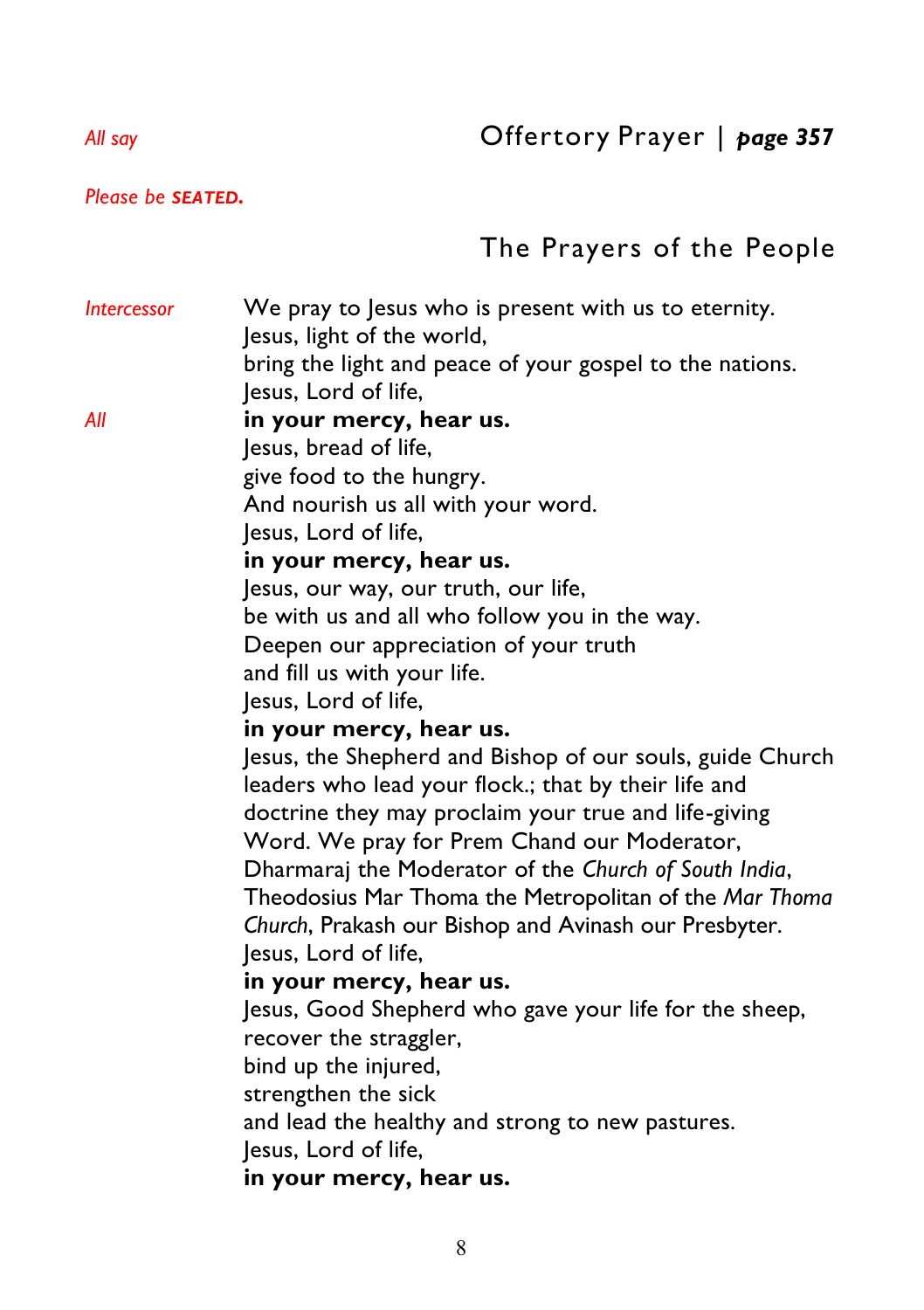*Please be SEATED.* 

## The Prayers of the People

*Intercessor* We pray to Jesus who is present with us to eternity. Jesus, light of the world, bring the light and peace of your gospel to the nations. Jesus, Lord of life, *All* **in your mercy, hear us.**  Jesus, bread of life, give food to the hungry. And nourish us all with your word. Jesus, Lord of life,  **in your mercy, hear us.**  Jesus, our way, our truth, our life, be with us and all who follow you in the way. Deepen our appreciation of your truth and fill us with your life. Jesus, Lord of life,  **in your mercy, hear us.**  Jesus, the Shepherd and Bishop of our souls, guide Church leaders who lead your flock.; that by their life and doctrine they may proclaim your true and life-giving Word. We pray for Prem Chand our Moderator, Dharmaraj the Moderator of the *Church of South India*, Theodosius Mar Thoma the Metropolitan of the *Mar Thoma Church*, Prakash our Bishop and Avinash our Presbyter. Jesus, Lord of life,  **in your mercy, hear us.**  Jesus, Good Shepherd who gave your life for the sheep, recover the straggler, bind up the injured, strengthen the sick and lead the healthy and strong to new pastures. Jesus, Lord of life,  **in your mercy, hear us.**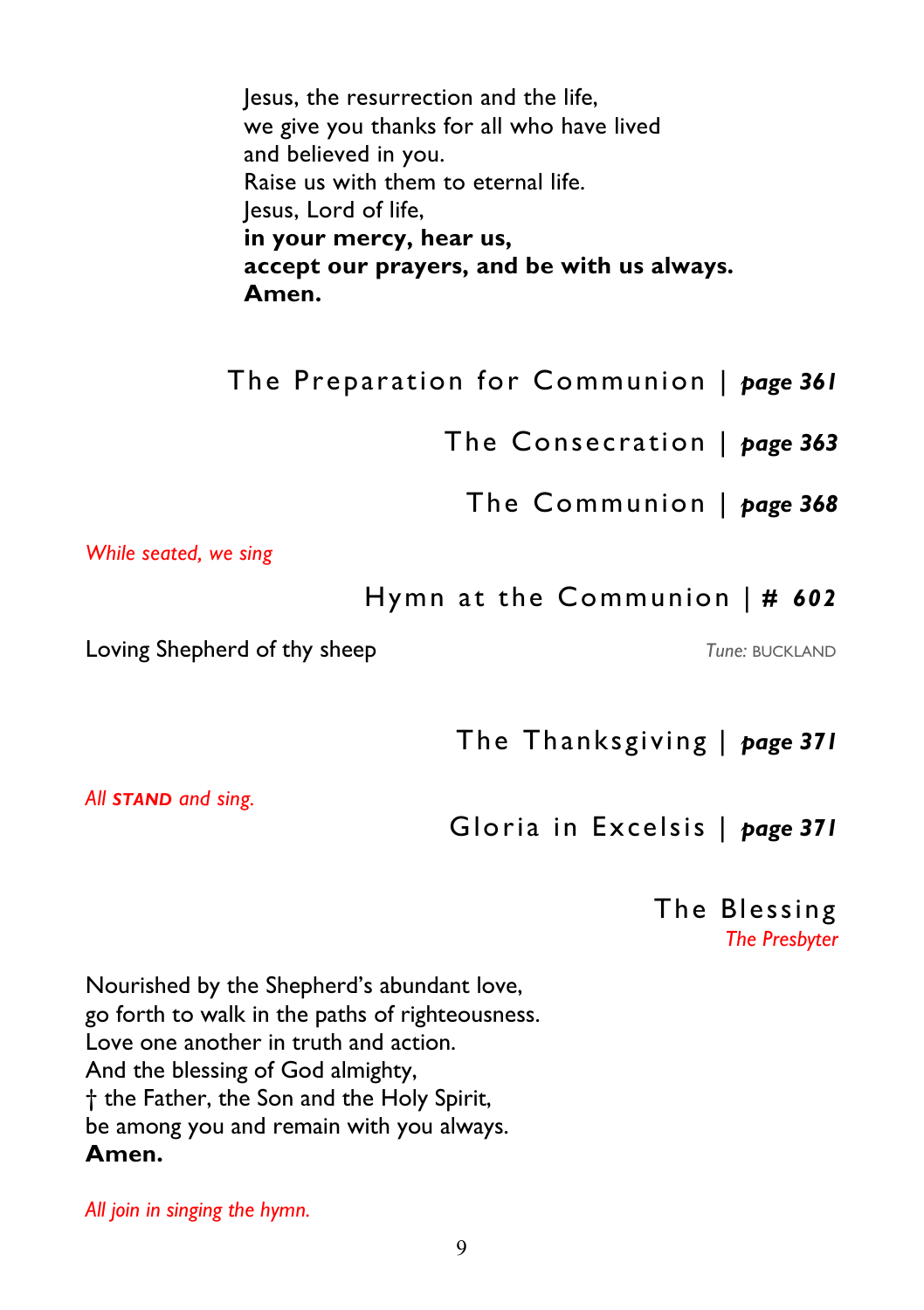Jesus, the resurrection and the life, we give you thanks for all who have lived and believed in you. Raise us with them to eternal life. Jesus, Lord of life,  **in your mercy, hear us, accept our prayers, and be with us always. Amen.**

The Preparation for Communion | *page 361* 

The Consecration | *page 363* 

The Communion | *page 368* 

*While seated, we sing* 

Hymn at the Communion | *# 602*

Loving Shepherd of thy sheep *Tune:* BUCKLAND

The Thanksgiving | *page 371* 

*All STAND and sing.* 

Gloria in Excelsis | *page 371* 

The Blessing *The Presbyter* 

Nourished by the Shepherd's abundant love, go forth to walk in the paths of righteousness. Love one another in truth and action. And the blessing of God almighty, † the Father, the Son and the Holy Spirit, be among you and remain with you always. **Amen.** 

*All join in singing the hymn.*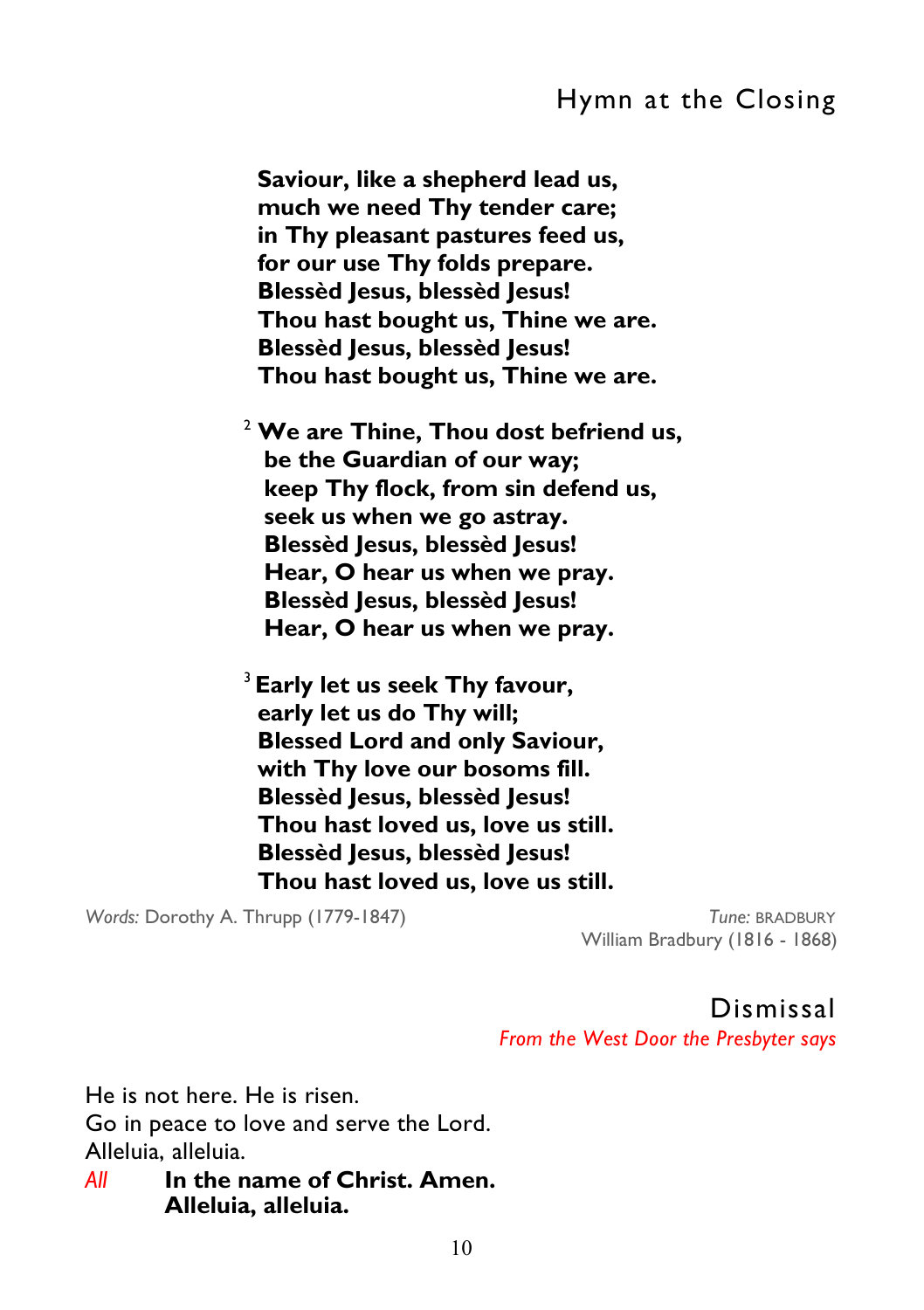#### Hymn at the Closing

 **Saviour, like a shepherd lead us, much we need Thy tender care; in Thy pleasant pastures feed us, for our use Thy folds prepare. Blessèd Jesus, blessèd Jesus! Thou hast bought us, Thine we are. Blessèd Jesus, blessèd Jesus! Thou hast bought us, Thine we are.** 

<sup>2</sup> **We are Thine, Thou dost befriend us, be the Guardian of our way; keep Thy flock, from sin defend us, seek us when we go astray. Blessèd Jesus, blessèd Jesus! Hear, O hear us when we pray. Blessèd Jesus, blessèd Jesus! Hear, O hear us when we pray.** 

<sup>3</sup>**Early let us seek Thy favour, early let us do Thy will; Blessed Lord and only Saviour, with Thy love our bosoms fill. Blessèd Jesus, blessèd Jesus! Thou hast loved us, love us still. Blessèd Jesus, blessèd Jesus! Thou hast loved us, love us still.** 

*Words:* Dorothy A. Thrupp (1779-1847) *Tune:* BRADBURY

William Bradbury (1816 - 1868)

Dismissal

*From the West Door the Presbyter says* 

He is not here. He is risen. Go in peace to love and serve the Lord. Alleluia, alleluia.

*All* **In the name of Christ. Amen. Alleluia, alleluia.**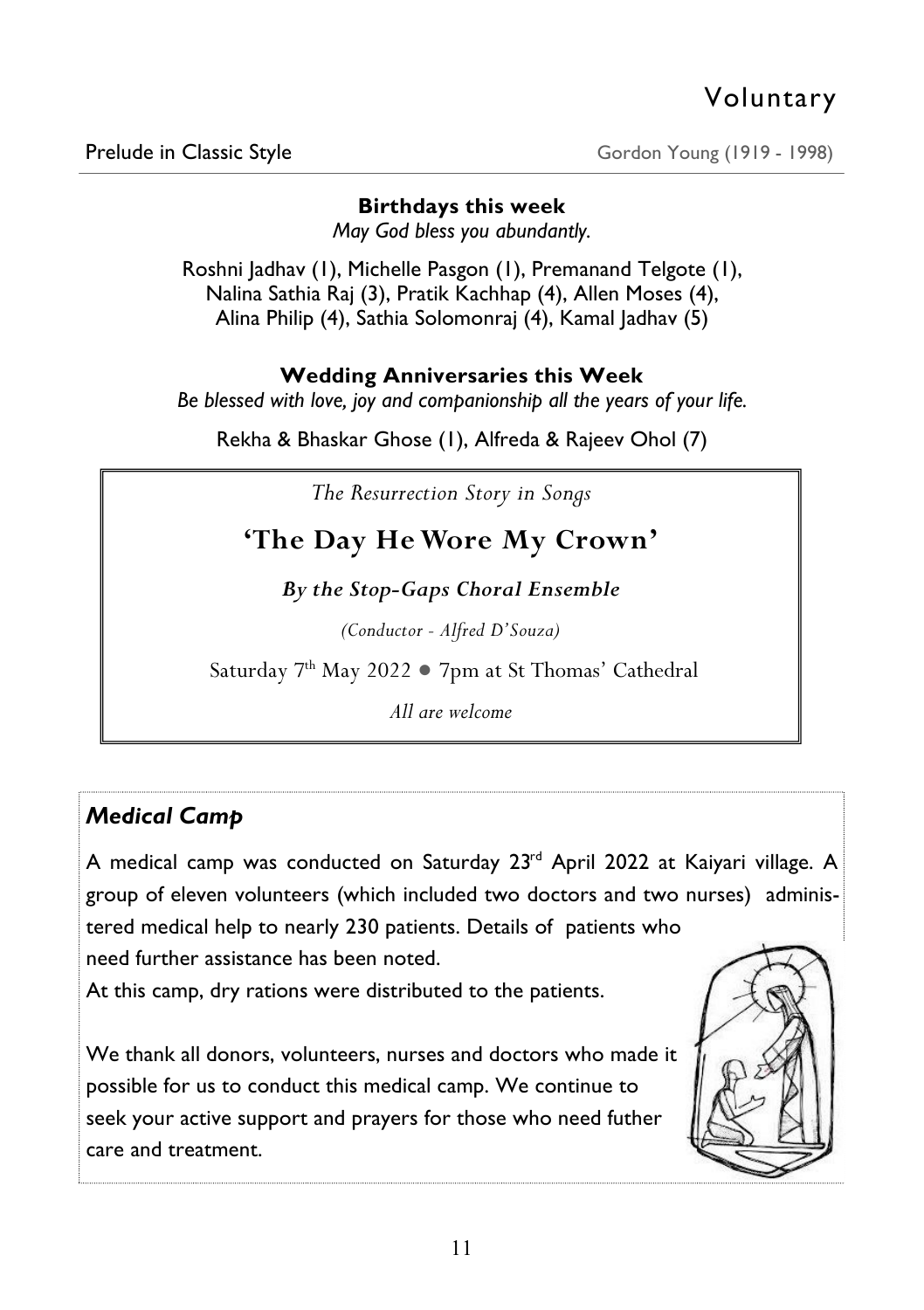Prelude in Classic Style Gordon Young (1919 - 1998)

#### **Birthdays this week**

*May God bless you abundantly.* 

Roshni Jadhav (1), Michelle Pasgon (1), Premanand Telgote (1), Nalina Sathia Raj (3), Pratik Kachhap (4), Allen Moses (4), Alina Philip (4), Sathia Solomonraj (4), Kamal Jadhav (5)

#### **Wedding Anniversaries this Week**

*Be blessed with love, joy and companionship all the years of your life.* 

Rekha & Bhaskar Ghose (1), Alfreda & Rajeev Ohol (7)

*The Resurrection Story in Songs* 

## **'The Day He Wore My Crown'**

*By the Stop-Gaps Choral Ensemble* 

*(Conductor - Alfred D'Souza)*

Saturday 7th May 2022 ● 7pm at St Thomas' Cathedral

*All are welcome* 

#### *Medical Camp*

A medical camp was conducted on Saturday 23<sup>rd</sup> April 2022 at Kaiyari village. A group of eleven volunteers (which included two doctors and two nurses) administered medical help to nearly 230 patients. Details of patients who need further assistance has been noted.

At this camp, dry rations were distributed to the patients.

We thank all donors, volunteers, nurses and doctors who made it possible for us to conduct this medical camp. We continue to seek your active support and prayers for those who need futher care and treatment.